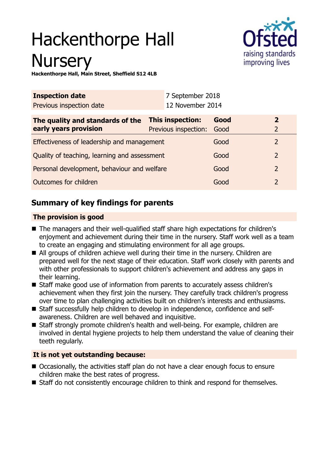# Hackenthorpe Hall **Nursery**



**Hackenthorpe Hall, Main Street, Sheffield S12 4LB**

| <b>Inspection date</b>                       | 7 September 2018     |      |                |
|----------------------------------------------|----------------------|------|----------------|
| Previous inspection date                     | 12 November 2014     |      |                |
| The quality and standards of the             | This inspection:     | Good | $\overline{2}$ |
| early years provision                        | Previous inspection: | Good | $\overline{2}$ |
| Effectiveness of leadership and management   |                      | Good | $\overline{2}$ |
| Quality of teaching, learning and assessment |                      | Good | $\overline{2}$ |
| Personal development, behaviour and welfare  |                      | Good | $\overline{2}$ |
| Outcomes for children                        |                      | Good | $\overline{2}$ |

# **Summary of key findings for parents**

## **The provision is good**

- The managers and their well-qualified staff share high expectations for children's enjoyment and achievement during their time in the nursery. Staff work well as a team to create an engaging and stimulating environment for all age groups.
- All groups of children achieve well during their time in the nursery. Children are prepared well for the next stage of their education. Staff work closely with parents and with other professionals to support children's achievement and address any gaps in their learning.
- Staff make good use of information from parents to accurately assess children's achievement when they first join the nursery. They carefully track children's progress over time to plan challenging activities built on children's interests and enthusiasms.
- Staff successfully help children to develop in independence, confidence and selfawareness. Children are well behaved and inquisitive.
- Staff strongly promote children's health and well-being. For example, children are involved in dental hygiene projects to help them understand the value of cleaning their teeth regularly.

## **It is not yet outstanding because:**

- Occasionally, the activities staff plan do not have a clear enough focus to ensure children make the best rates of progress.
- Staff do not consistently encourage children to think and respond for themselves.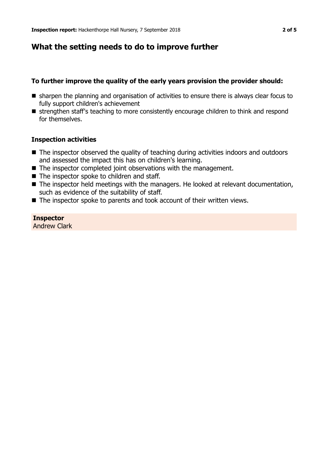## **What the setting needs to do to improve further**

#### **To further improve the quality of the early years provision the provider should:**

- **n** sharpen the planning and organisation of activities to ensure there is always clear focus to fully support children's achievement
- strengthen staff's teaching to more consistently encourage children to think and respond for themselves.

#### **Inspection activities**

- $\blacksquare$  The inspector observed the quality of teaching during activities indoors and outdoors and assessed the impact this has on children's learning.
- $\blacksquare$  The inspector completed joint observations with the management.
- $\blacksquare$  The inspector spoke to children and staff.
- The inspector held meetings with the managers. He looked at relevant documentation, such as evidence of the suitability of staff.
- $\blacksquare$  The inspector spoke to parents and took account of their written views.

**Inspector** Andrew Clark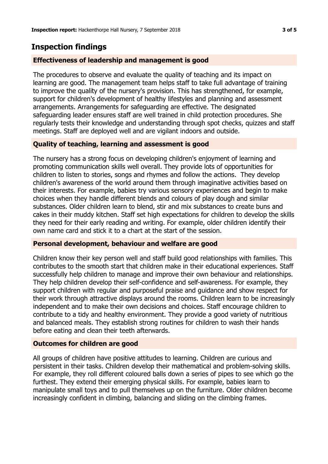## **Inspection findings**

## **Effectiveness of leadership and management is good**

The procedures to observe and evaluate the quality of teaching and its impact on learning are good. The management team helps staff to take full advantage of training to improve the quality of the nursery's provision. This has strengthened, for example, support for children's development of healthy lifestyles and planning and assessment arrangements. Arrangements for safeguarding are effective. The designated safeguarding leader ensures staff are well trained in child protection procedures. She regularly tests their knowledge and understanding through spot checks, quizzes and staff meetings. Staff are deployed well and are vigilant indoors and outside.

## **Quality of teaching, learning and assessment is good**

The nursery has a strong focus on developing children's enjoyment of learning and promoting communication skills well overall. They provide lots of opportunities for children to listen to stories, songs and rhymes and follow the actions. They develop children's awareness of the world around them through imaginative activities based on their interests. For example, babies try various sensory experiences and begin to make choices when they handle different blends and colours of play dough and similar substances. Older children learn to blend, stir and mix substances to create buns and cakes in their muddy kitchen. Staff set high expectations for children to develop the skills they need for their early reading and writing. For example, older children identify their own name card and stick it to a chart at the start of the session.

## **Personal development, behaviour and welfare are good**

Children know their key person well and staff build good relationships with families. This contributes to the smooth start that children make in their educational experiences. Staff successfully help children to manage and improve their own behaviour and relationships. They help children develop their self-confidence and self-awareness. For example, they support children with regular and purposeful praise and guidance and show respect for their work through attractive displays around the rooms. Children learn to be increasingly independent and to make their own decisions and choices. Staff encourage children to contribute to a tidy and healthy environment. They provide a good variety of nutritious and balanced meals. They establish strong routines for children to wash their hands before eating and clean their teeth afterwards.

## **Outcomes for children are good**

All groups of children have positive attitudes to learning. Children are curious and persistent in their tasks. Children develop their mathematical and problem-solving skills. For example, they roll different coloured balls down a series of pipes to see which go the furthest. They extend their emerging physical skills. For example, babies learn to manipulate small toys and to pull themselves up on the furniture. Older children become increasingly confident in climbing, balancing and sliding on the climbing frames.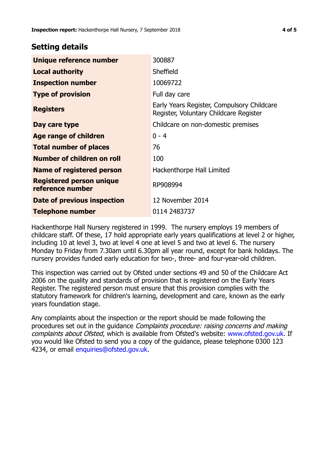## **Setting details**

| Unique reference number                             | 300887                                                                               |  |
|-----------------------------------------------------|--------------------------------------------------------------------------------------|--|
| <b>Local authority</b>                              | Sheffield                                                                            |  |
| <b>Inspection number</b>                            | 10069722                                                                             |  |
| <b>Type of provision</b>                            | Full day care                                                                        |  |
| <b>Registers</b>                                    | Early Years Register, Compulsory Childcare<br>Register, Voluntary Childcare Register |  |
| Day care type                                       | Childcare on non-domestic premises                                                   |  |
| Age range of children                               | $0 - 4$                                                                              |  |
| <b>Total number of places</b>                       | 76                                                                                   |  |
| Number of children on roll                          | 100                                                                                  |  |
| Name of registered person                           | Hackenthorpe Hall Limited                                                            |  |
| <b>Registered person unique</b><br>reference number | RP908994                                                                             |  |
| Date of previous inspection                         | 12 November 2014                                                                     |  |
| Telephone number                                    | 0114 2483737                                                                         |  |

Hackenthorpe Hall Nursery registered in 1999. The nursery employs 19 members of childcare staff. Of these, 17 hold appropriate early years qualifications at level 2 or higher, including 10 at level 3, two at level 4 one at level 5 and two at level 6. The nursery Monday to Friday from 7.30am until 6.30pm all year round, except for bank holidays. The nursery provides funded early education for two-, three- and four-year-old children.

This inspection was carried out by Ofsted under sections 49 and 50 of the Childcare Act 2006 on the quality and standards of provision that is registered on the Early Years Register. The registered person must ensure that this provision complies with the statutory framework for children's learning, development and care, known as the early years foundation stage.

Any complaints about the inspection or the report should be made following the procedures set out in the guidance Complaints procedure: raising concerns and making complaints about Ofsted, which is available from Ofsted's website: www.ofsted.gov.uk. If you would like Ofsted to send you a copy of the guidance, please telephone 0300 123 4234, or email [enquiries@ofsted.gov.uk.](mailto:enquiries@ofsted.gov.uk)